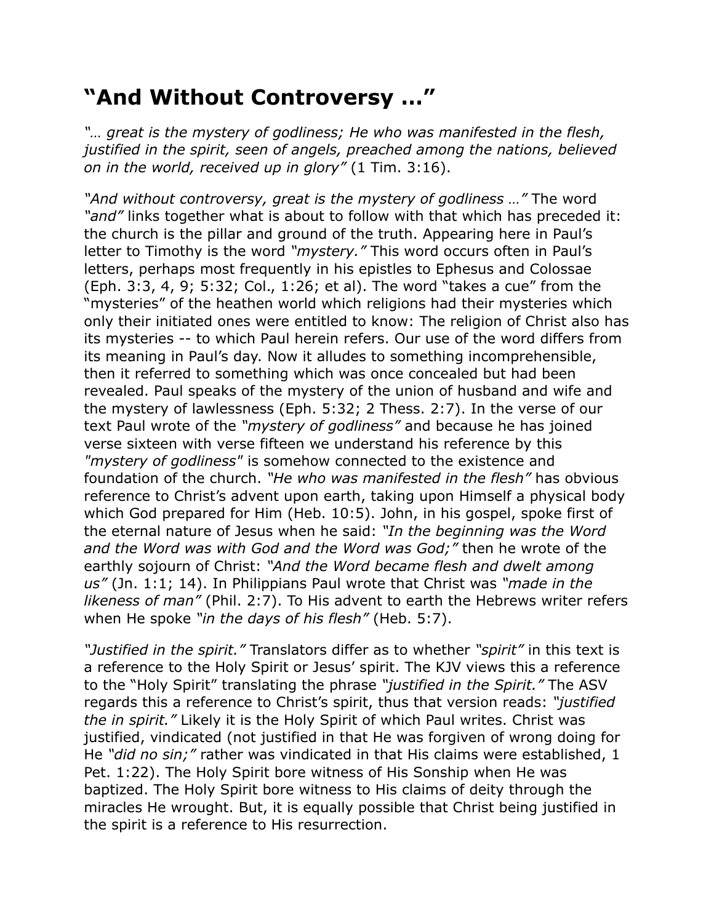## **"And Without Controversy …"**

*"… great is the mystery of godliness; He who was manifested in the flesh, justified in the spirit, seen of angels, preached among the nations, believed on in the world, received up in glory"* (1 Tim. 3:16).

*"And without controversy, great is the mystery of godliness …"* The word *"and"* links together what is about to follow with that which has preceded it: the church is the pillar and ground of the truth. Appearing here in Paul's letter to Timothy is the word *"mystery."* This word occurs often in Paul's letters, perhaps most frequently in his epistles to Ephesus and Colossae (Eph. 3:3, 4, 9; 5:32; Col., 1:26; et al). The word "takes a cue" from the "mysteries" of the heathen world which religions had their mysteries which only their initiated ones were entitled to know: The religion of Christ also has its mysteries -- to which Paul herein refers. Our use of the word differs from its meaning in Paul's day. Now it alludes to something incomprehensible, then it referred to something which was once concealed but had been revealed. Paul speaks of the mystery of the union of husband and wife and the mystery of lawlessness (Eph. 5:32; 2 Thess. 2:7). In the verse of our text Paul wrote of the *"mystery of godliness"* and because he has joined verse sixteen with verse fifteen we understand his reference by this *"mystery of godliness"* is somehow connected to the existence and foundation of the church. *"He who was manifested in the flesh"* has obvious reference to Christ's advent upon earth, taking upon Himself a physical body which God prepared for Him (Heb. 10:5). John, in his gospel, spoke first of the eternal nature of Jesus when he said: *"In the beginning was the Word and the Word was with God and the Word was God;"* then he wrote of the earthly sojourn of Christ: *"And the Word became flesh and dwelt among us"* (Jn. 1:1; 14). In Philippians Paul wrote that Christ was *"made in the likeness of man"* (Phil. 2:7). To His advent to earth the Hebrews writer refers when He spoke *"in the days of his flesh"* (Heb. 5:7).

*"Justified in the spirit."* Translators differ as to whether *"spirit"* in this text is a reference to the Holy Spirit or Jesus' spirit. The KJV views this a reference to the "Holy Spirit" translating the phrase *"justified in the Spirit."* The ASV regards this a reference to Christ's spirit, thus that version reads: *"justified the in spirit."* Likely it is the Holy Spirit of which Paul writes. Christ was justified, vindicated (not justified in that He was forgiven of wrong doing for He *"did no sin;"* rather was vindicated in that His claims were established, 1 Pet. 1:22). The Holy Spirit bore witness of His Sonship when He was baptized. The Holy Spirit bore witness to His claims of deity through the miracles He wrought. But, it is equally possible that Christ being justified in the spirit is a reference to His resurrection.